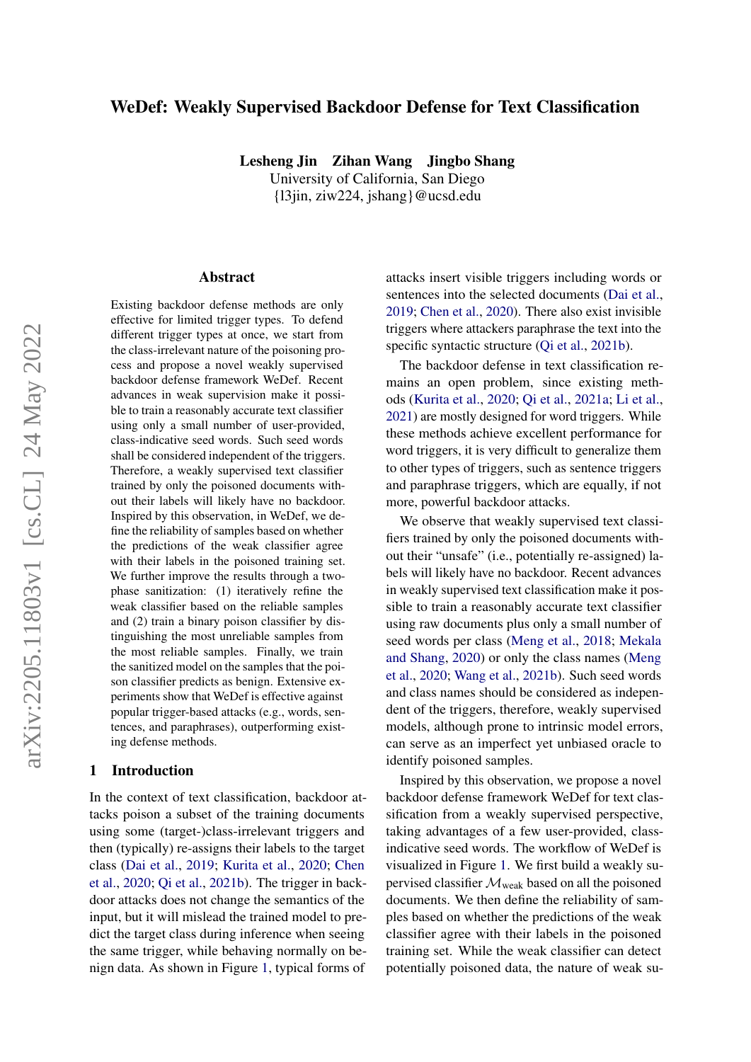# WeDef: Weakly Supervised Backdoor Defense for Text Classification

Lesheng Jin Zihan Wang Jingbo Shang

University of California, San Diego {l3jin, ziw224, jshang}@ucsd.edu

#### Abstract

Existing backdoor defense methods are only effective for limited trigger types. To defend different trigger types at once, we start from the class-irrelevant nature of the poisoning process and propose a novel weakly supervised backdoor defense framework WeDef. Recent advances in weak supervision make it possible to train a reasonably accurate text classifier using only a small number of user-provided, class-indicative seed words. Such seed words shall be considered independent of the triggers. Therefore, a weakly supervised text classifier trained by only the poisoned documents without their labels will likely have no backdoor. Inspired by this observation, in WeDef, we define the reliability of samples based on whether the predictions of the weak classifier agree with their labels in the poisoned training set. We further improve the results through a twophase sanitization: (1) iteratively refine the weak classifier based on the reliable samples and (2) train a binary poison classifier by distinguishing the most unreliable samples from the most reliable samples. Finally, we train the sanitized model on the samples that the poison classifier predicts as benign. Extensive experiments show that WeDef is effective against popular trigger-based attacks (e.g., words, sentences, and paraphrases), outperforming existing defense methods.

#### 1 Introduction

In the context of text classification, backdoor attacks poison a subset of the training documents using some (target-)class-irrelevant triggers and then (typically) re-assigns their labels to the target class [\(Dai et al.,](#page-8-0) [2019;](#page-8-0) [Kurita et al.,](#page-8-1) [2020;](#page-8-1) [Chen](#page-8-2) [et al.,](#page-8-2) [2020;](#page-8-2) [Qi et al.,](#page-9-0) [2021b\)](#page-9-0). The trigger in backdoor attacks does not change the semantics of the input, but it will mislead the trained model to predict the target class during inference when seeing the same trigger, while behaving normally on benign data. As shown in Figure [1,](#page-1-0) typical forms of attacks insert visible triggers including words or sentences into the selected documents [\(Dai et al.,](#page-8-0) [2019;](#page-8-0) [Chen et al.,](#page-8-2) [2020\)](#page-8-2). There also exist invisible triggers where attackers paraphrase the text into the specific syntactic structure [\(Qi et al.,](#page-9-0) [2021b\)](#page-9-0).

The backdoor defense in text classification remains an open problem, since existing methods [\(Kurita et al.,](#page-8-1) [2020;](#page-8-1) [Qi et al.,](#page-9-1) [2021a;](#page-9-1) [Li et al.,](#page-9-2) [2021\)](#page-9-2) are mostly designed for word triggers. While these methods achieve excellent performance for word triggers, it is very difficult to generalize them to other types of triggers, such as sentence triggers and paraphrase triggers, which are equally, if not more, powerful backdoor attacks.

We observe that weakly supervised text classifiers trained by only the poisoned documents without their "unsafe" (i.e., potentially re-assigned) labels will likely have no backdoor. Recent advances in weakly supervised text classification make it possible to train a reasonably accurate text classifier using raw documents plus only a small number of seed words per class [\(Meng et al.,](#page-9-3) [2018;](#page-9-3) [Mekala](#page-9-4) [and Shang,](#page-9-4) [2020\)](#page-9-4) or only the class names [\(Meng](#page-9-5) [et al.,](#page-9-5) [2020;](#page-9-5) [Wang et al.,](#page-9-6) [2021b\)](#page-9-6). Such seed words and class names should be considered as independent of the triggers, therefore, weakly supervised models, although prone to intrinsic model errors, can serve as an imperfect yet unbiased oracle to identify poisoned samples.

Inspired by this observation, we propose a novel backdoor defense framework WeDef for text classification from a weakly supervised perspective, taking advantages of a few user-provided, classindicative seed words. The workflow of WeDef is visualized in Figure [1.](#page-1-0) We first build a weakly supervised classifier  $\mathcal{M}_{weak}$  based on all the poisoned documents. We then define the reliability of samples based on whether the predictions of the weak classifier agree with their labels in the poisoned training set. While the weak classifier can detect potentially poisoned data, the nature of weak su-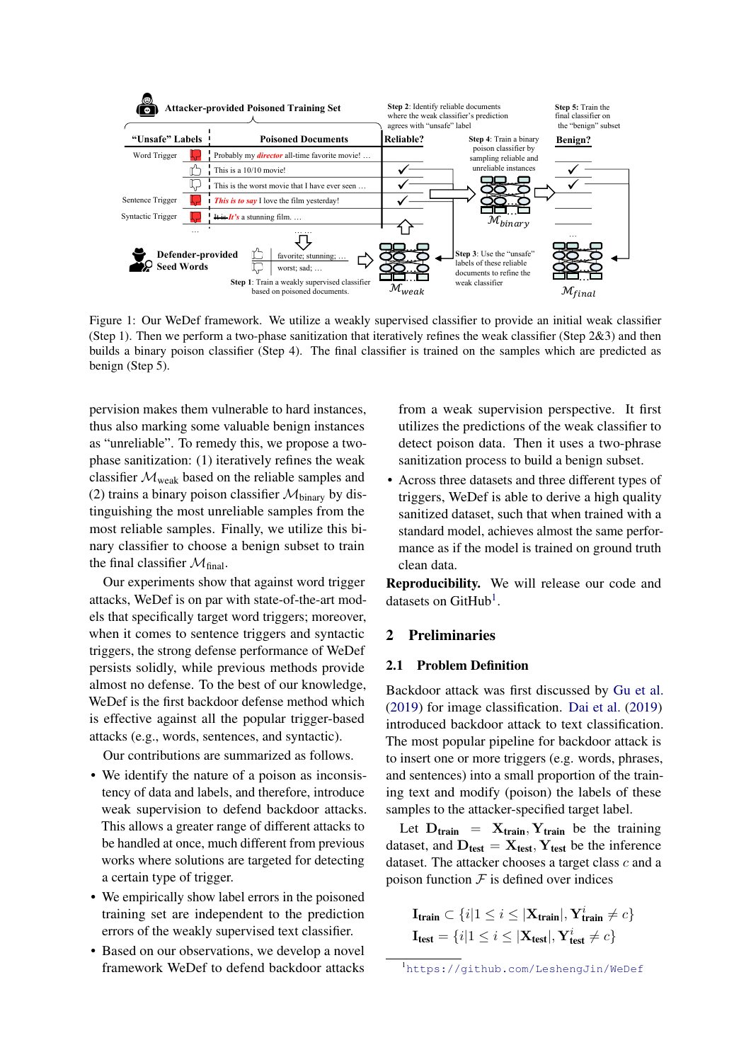<span id="page-1-0"></span>

Figure 1: Our WeDef framework. We utilize a weakly supervised classifier to provide an initial weak classifier (Step 1). Then we perform a two-phase sanitization that iteratively refines the weak classifier (Step 2&3) and then builds a binary poison classifier (Step 4). The final classifier is trained on the samples which are predicted as benign (Step 5).

pervision makes them vulnerable to hard instances, thus also marking some valuable benign instances as "unreliable". To remedy this, we propose a twophase sanitization: (1) iteratively refines the weak classifier  $\mathcal{M}_{weak}$  based on the reliable samples and (2) trains a binary poison classifier  $\mathcal{M}_{\text{binary}}$  by distinguishing the most unreliable samples from the most reliable samples. Finally, we utilize this binary classifier to choose a benign subset to train the final classifier  $\mathcal{M}_{final}$ .

Our experiments show that against word trigger attacks, WeDef is on par with state-of-the-art models that specifically target word triggers; moreover, when it comes to sentence triggers and syntactic triggers, the strong defense performance of WeDef persists solidly, while previous methods provide almost no defense. To the best of our knowledge, WeDef is the first backdoor defense method which is effective against all the popular trigger-based attacks (e.g., words, sentences, and syntactic).

Our contributions are summarized as follows.

- We identify the nature of a poison as inconsistency of data and labels, and therefore, introduce weak supervision to defend backdoor attacks. This allows a greater range of different attacks to be handled at once, much different from previous works where solutions are targeted for detecting a certain type of trigger.
- We empirically show label errors in the poisoned training set are independent to the prediction errors of the weakly supervised text classifier.
- Based on our observations, we develop a novel framework WeDef to defend backdoor attacks

from a weak supervision perspective. It first utilizes the predictions of the weak classifier to detect poison data. Then it uses a two-phrase sanitization process to build a benign subset.

• Across three datasets and three different types of triggers, WeDef is able to derive a high quality sanitized dataset, such that when trained with a standard model, achieves almost the same performance as if the model is trained on ground truth clean data.

Reproducibility. We will release our code and datasets on GitHub<sup>[1](#page-1-1)</sup>.

## 2 Preliminaries

### 2.1 Problem Definition

Backdoor attack was first discussed by [Gu et al.](#page-8-3) [\(2019\)](#page-8-3) for image classification. [Dai et al.](#page-8-0) [\(2019\)](#page-8-0) introduced backdoor attack to text classification. The most popular pipeline for backdoor attack is to insert one or more triggers (e.g. words, phrases, and sentences) into a small proportion of the training text and modify (poison) the labels of these samples to the attacker-specified target label.

Let  $D_{train} = X_{train}, Y_{train}$  be the training dataset, and  $D_{\text{test}} = X_{\text{test}}$ ,  $Y_{\text{test}}$  be the inference dataset. The attacker chooses a target class c and a poison function  $F$  is defined over indices

$$
\mathbf{I}_{\text{train}} \subset \{i | 1 \le i \le |\mathbf{X}_{\text{train}}|, \mathbf{Y}_{\text{train}}^i \ne c\}
$$

$$
\mathbf{I}_{\text{test}} = \{i | 1 \le i \le |\mathbf{X}_{\text{test}}|, \mathbf{Y}_{\text{test}}^i \ne c\}
$$

<span id="page-1-1"></span><sup>1</sup><https://github.com/LeshengJin/WeDef>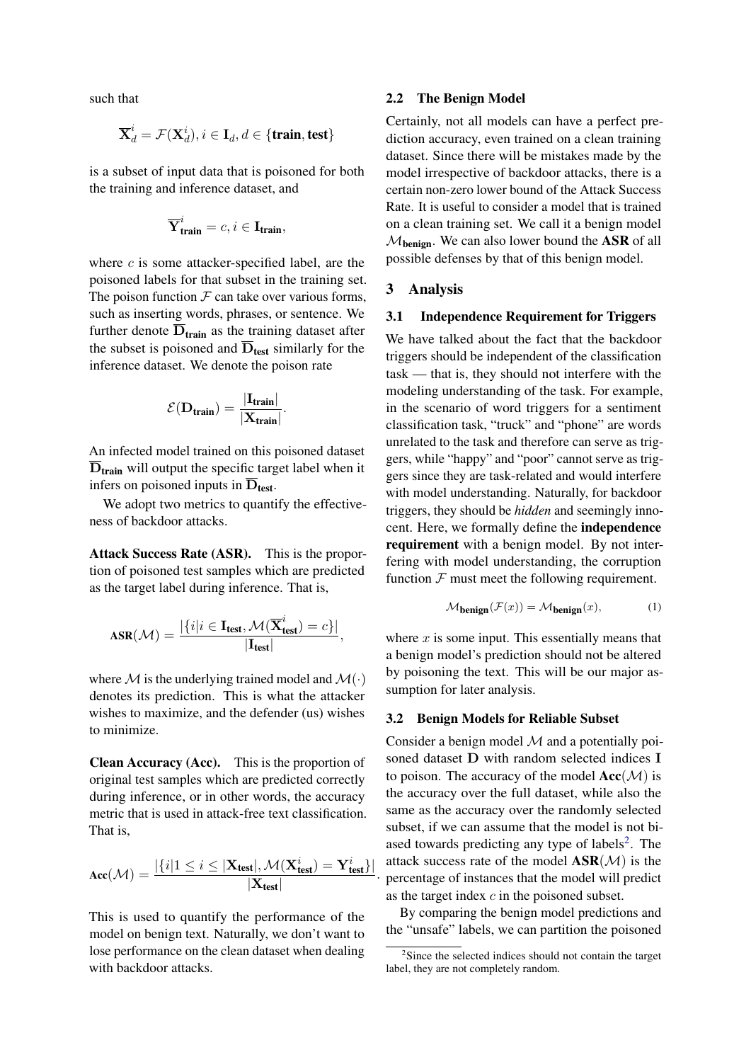such that

$$
\overline{\mathbf{X}}^i_d = \mathcal{F}(\mathbf{X}^i_d), i \in \mathbf{I}_d, d \in \{\textbf{train}, \textbf{test}\}
$$

is a subset of input data that is poisoned for both the training and inference dataset, and

$$
\overline{\mathbf{Y}}_{\text{train}}^i = c, i \in \mathbf{I}_{\text{train}},
$$

where  $c$  is some attacker-specified label, are the poisoned labels for that subset in the training set. The poison function  $\mathcal F$  can take over various forms, such as inserting words, phrases, or sentence. We further denote  $\overline{D}_{\text{train}}$  as the training dataset after the subset is poisoned and  $\overline{D}_{\text{test}}$  similarly for the inference dataset. We denote the poison rate

$$
\mathcal{E}(\mathbf{D}_{train}) = \frac{|\mathbf{I}_{train}|}{|\mathbf{X}_{train}|}.
$$

An infected model trained on this poisoned dataset  $\overline{D}_{\text{train}}$  will output the specific target label when it infers on poisoned inputs in  $\overline{D}_{\text{test}}$ .

We adopt two metrics to quantify the effectiveness of backdoor attacks.

Attack Success Rate (ASR). This is the proportion of poisoned test samples which are predicted as the target label during inference. That is,

$$
\text{ASR}(\mathcal{M}) = \frac{|\{i|i \in \mathbf{I}_{\text{test}}, \mathcal{M}(\overline{\mathbf{X}}_{\text{test}}^i) = c\}|}{|\mathbf{I}_{\text{test}}|},
$$

where M is the underlying trained model and  $\mathcal{M}(\cdot)$ denotes its prediction. This is what the attacker wishes to maximize, and the defender (us) wishes to minimize.

Clean Accuracy (Acc). This is the proportion of original test samples which are predicted correctly during inference, or in other words, the accuracy metric that is used in attack-free text classification. That is,

$$
\text{Acc}(\mathcal{M}) = \frac{|\{i|1 \leq i \leq |\mathbf{X}_{\text{test}}|, \mathcal{M}(\mathbf{X}_{\text{test}}^i) = \mathbf{Y}_{\text{test}}^i\}|}{|\mathbf{X}_{\text{test}}|}
$$

.

This is used to quantify the performance of the model on benign text. Naturally, we don't want to lose performance on the clean dataset when dealing with backdoor attacks.

#### 2.2 The Benign Model

Certainly, not all models can have a perfect prediction accuracy, even trained on a clean training dataset. Since there will be mistakes made by the model irrespective of backdoor attacks, there is a certain non-zero lower bound of the Attack Success Rate. It is useful to consider a model that is trained on a clean training set. We call it a benign model  $M_{\text{benign}}$ . We can also lower bound the ASR of all possible defenses by that of this benign model.

### <span id="page-2-1"></span>3 Analysis

### <span id="page-2-4"></span>3.1 Independence Requirement for Triggers

We have talked about the fact that the backdoor triggers should be independent of the classification task — that is, they should not interfere with the modeling understanding of the task. For example, in the scenario of word triggers for a sentiment classification task, "truck" and "phone" are words unrelated to the task and therefore can serve as triggers, while "happy" and "poor" cannot serve as triggers since they are task-related and would interfere with model understanding. Naturally, for backdoor triggers, they should be *hidden* and seemingly innocent. Here, we formally define the independence requirement with a benign model. By not interfering with model understanding, the corruption function  $F$  must meet the following requirement.

<span id="page-2-2"></span>
$$
M_{\text{benign}}(\mathcal{F}(x)) = M_{\text{benign}}(x),\tag{1}
$$

where  $x$  is some input. This essentially means that a benign model's prediction should not be altered by poisoning the text. This will be our major assumption for later analysis.

#### <span id="page-2-3"></span>3.2 Benign Models for Reliable Subset

Consider a benign model  $M$  and a potentially poisoned dataset D with random selected indices I to poison. The accuracy of the model  $Acc(\mathcal{M})$  is the accuracy over the full dataset, while also the same as the accuracy over the randomly selected subset, if we can assume that the model is not bi-ased towards predicting any type of labels<sup>[2](#page-2-0)</sup>. The attack success rate of the model  $ASR(\mathcal{M})$  is the percentage of instances that the model will predict as the target index  $c$  in the poisoned subset.

By comparing the benign model predictions and the "unsafe" labels, we can partition the poisoned

<span id="page-2-0"></span><sup>&</sup>lt;sup>2</sup>Since the selected indices should not contain the target label, they are not completely random.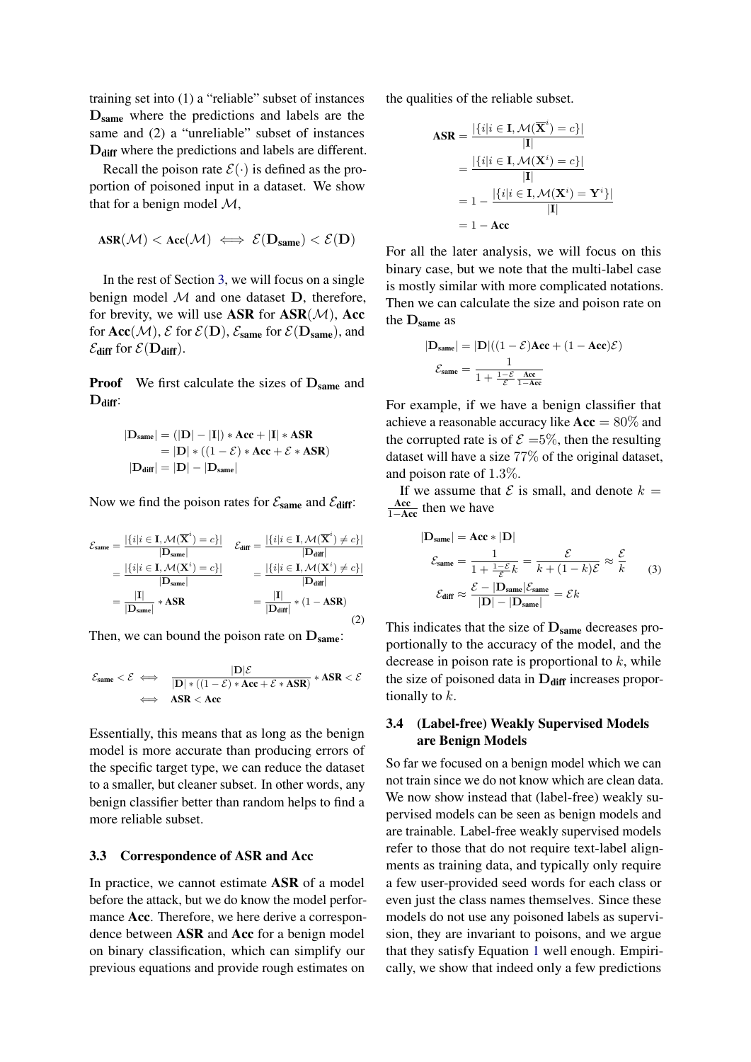training set into (1) a "reliable" subset of instances Dsame where the predictions and labels are the same and (2) a "unreliable" subset of instances D<sub>diff</sub> where the predictions and labels are different.

Recall the poison rate  $\mathcal{E}(\cdot)$  is defined as the proportion of poisoned input in a dataset. We show that for a benign model  $\mathcal{M}$ ,

$$
\text{ASR}(\mathcal{M}) < \text{Acc}(\mathcal{M}) \iff \mathcal{E}(\mathbf{D}_{same}) < \mathcal{E}(\mathbf{D})
$$

In the rest of Section [3,](#page-2-1) we will focus on a single benign model  $M$  and one dataset  $D$ , therefore, for brevity, we will use ASR for  $ASR(\mathcal{M})$ , Acc for  $Acc(\mathcal{M})$ ,  $\mathcal{E}$  for  $\mathcal{E}(\mathbf{D})$ ,  $\mathcal{E}_{same}$  for  $\mathcal{E}(\mathbf{D}_{same})$ , and  $\mathcal{E}_{\text{diff}}$  for  $\mathcal{E}(\mathbf{D}_{\text{diff}})$ .

**Proof** We first calculate the sizes of  $D_{same}$  and  $D_{diff}$ :

$$
|\mathbf{D}_{same}| = (|\mathbf{D}| - |\mathbf{I}|) * \mathbf{Acc} + |\mathbf{I}| * \mathbf{ASR}
$$
  
=  $|\mathbf{D}| * ((1 - \mathcal{E}) * \mathbf{Acc} + \mathcal{E} * \mathbf{ASR})$   
 $|\mathbf{D}_{diff}| = |\mathbf{D}| - |\mathbf{D}_{same}|$ 

Now we find the poison rates for  $\mathcal{E}_{\text{same}}$  and  $\mathcal{E}_{\text{diff}}$ :

$$
\mathcal{E}_{\text{same}} = \frac{|\{i|i \in \mathbf{I}, \mathcal{M}(\overline{\mathbf{X}}^i) = c\}|}{|\mathbf{D}_{\text{same}}|} \quad \mathcal{E}_{\text{diff}} = \frac{|\{i|i \in \mathbf{I}, \mathcal{M}(\overline{\mathbf{X}}^i) \neq c\}|}{|\mathbf{D}_{\text{diff}}|}
$$
\n
$$
= \frac{|\{i|i \in \mathbf{I}, \mathcal{M}(\mathbf{X}^i) = c\}|}{|\mathbf{D}_{\text{same}}|} = \frac{|\{i|i \in \mathbf{I}, \mathcal{M}(\mathbf{X}^i) \neq c\}|}{|\mathbf{D}_{\text{diff}}|}
$$
\n
$$
= \frac{|\mathbf{I}|}{|\mathbf{D}_{\text{same}}|} * \text{ASR} = \frac{|\mathbf{I}|}{|\mathbf{D}_{\text{diff}}|} * (1 - \text{ASR})
$$
\n(2)

Then, we can bound the poison rate on  $D_{same}$ :

$$
\mathcal{E}_{same} < \mathcal{E} \iff \frac{|D|\mathcal{E}}{|D| * ((1 - \mathcal{E}) * Acc + \mathcal{E} * ASR)} * ASR < \mathcal{E}
$$
  

$$
\iff ASR < Acc
$$

Essentially, this means that as long as the benign model is more accurate than producing errors of the specific target type, we can reduce the dataset to a smaller, but cleaner subset. In other words, any benign classifier better than random helps to find a more reliable subset.

#### 3.3 Correspondence of ASR and Acc

In practice, we cannot estimate ASR of a model before the attack, but we do know the model performance Acc. Therefore, we here derive a correspondence between ASR and Acc for a benign model on binary classification, which can simplify our previous equations and provide rough estimates on

the qualities of the reliable subset.

$$
\begin{aligned} \mathbf{ASR} &= \frac{|\{i|i \in \mathbf{I}, \mathcal{M}(\overline{\mathbf{X}}^i) = c\}|}{|\mathbf{I}|} \\ &= \frac{|\{i|i \in \mathbf{I}, \mathcal{M}(\mathbf{X}^i) = c\}|}{|\mathbf{I}|} \\ &= 1 - \frac{|\{i|i \in \mathbf{I}, \mathcal{M}(\mathbf{X}^i) = \mathbf{Y}^i\}|}{|\mathbf{I}|} \\ &= 1 - \mathbf{Acc} \end{aligned}
$$

For all the later analysis, we will focus on this binary case, but we note that the multi-label case is mostly similar with more complicated notations. Then we can calculate the size and poison rate on the  $D_{same}$  as

$$
|\mathbf{D}_{\text{same}}| = |\mathbf{D}|((1 - \mathcal{E})\mathbf{Acc} + (1 - \mathbf{Acc})\mathcal{E})
$$

$$
\mathcal{E}_{\text{same}} = \frac{1}{1 + \frac{1 - \mathcal{E}}{\mathcal{E}} \frac{\text{Acc}}{1 - \text{Acc}}}
$$

For example, if we have a benign classifier that achieve a reasonable accuracy like  $Acc = 80\%$  and the corrupted rate is of  $\mathcal{E} = 5\%$ , then the resulting dataset will have a size 77% of the original dataset, and poison rate of 1.3%.

<span id="page-3-0"></span>If we assume that  $\mathcal E$  is small, and denote  $k =$  $\frac{Acc}{1 - Acc}$  then we have

<span id="page-3-1"></span>
$$
|\mathbf{D}_{\text{same}}| = \mathbf{Acc} * |\mathbf{D}|
$$
  

$$
\mathcal{E}_{\text{same}} = \frac{1}{1 + \frac{1 - \mathcal{E}}{\mathcal{E}} k} = \frac{\mathcal{E}}{k + (1 - k)\mathcal{E}} \approx \frac{\mathcal{E}}{k}
$$
 (3)  

$$
\mathcal{E}_{\text{diff}} \approx \frac{\mathcal{E} - |\mathbf{D}_{\text{same}}| \mathcal{E}_{\text{same}}}{|\mathbf{D}| - |\mathbf{D}_{\text{same}}|} = \mathcal{E}k
$$

This indicates that the size of  $D_{same}$  decreases proportionally to the accuracy of the model, and the decrease in poison rate is proportional to  $k$ , while the size of poisoned data in  $D_{diff}$  increases proportionally to  $k$ .

### 3.4 (Label-free) Weakly Supervised Models are Benign Models

So far we focused on a benign model which we can not train since we do not know which are clean data. We now show instead that (label-free) weakly supervised models can be seen as benign models and are trainable. Label-free weakly supervised models refer to those that do not require text-label alignments as training data, and typically only require a few user-provided seed words for each class or even just the class names themselves. Since these models do not use any poisoned labels as supervision, they are invariant to poisons, and we argue that they satisfy Equation [1](#page-2-2) well enough. Empirically, we show that indeed only a few predictions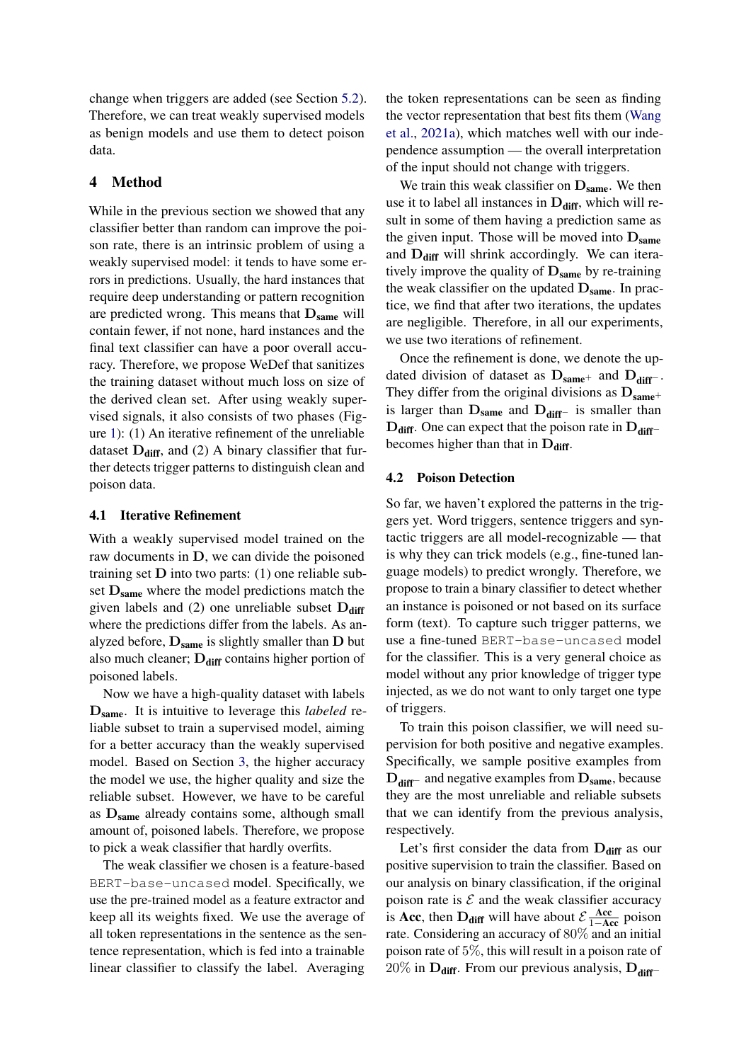change when triggers are added (see Section [5.2\)](#page-6-0). Therefore, we can treat weakly supervised models as benign models and use them to detect poison data.

### 4 Method

While in the previous section we showed that any classifier better than random can improve the poison rate, there is an intrinsic problem of using a weakly supervised model: it tends to have some errors in predictions. Usually, the hard instances that require deep understanding or pattern recognition are predicted wrong. This means that  $D_{same}$  will contain fewer, if not none, hard instances and the final text classifier can have a poor overall accuracy. Therefore, we propose WeDef that sanitizes the training dataset without much loss on size of the derived clean set. After using weakly supervised signals, it also consists of two phases (Figure [1\)](#page-1-0): (1) An iterative refinement of the unreliable dataset  $D_{diff}$ , and (2) A binary classifier that further detects trigger patterns to distinguish clean and poison data.

#### 4.1 Iterative Refinement

With a weakly supervised model trained on the raw documents in D, we can divide the poisoned training set  $D$  into two parts: (1) one reliable subset  $D_{same}$  where the model predictions match the given labels and (2) one unreliable subset  $D_{diff}$ where the predictions differ from the labels. As analyzed before,  $D_{same}$  is slightly smaller than  $D$  but also much cleaner;  $D_{\text{diff}}$  contains higher portion of poisoned labels.

Now we have a high-quality dataset with labels Dsame. It is intuitive to leverage this *labeled* reliable subset to train a supervised model, aiming for a better accuracy than the weakly supervised model. Based on Section [3,](#page-2-1) the higher accuracy the model we use, the higher quality and size the reliable subset. However, we have to be careful as Dsame already contains some, although small amount of, poisoned labels. Therefore, we propose to pick a weak classifier that hardly overfits.

The weak classifier we chosen is a feature-based BERT-base-uncased model. Specifically, we use the pre-trained model as a feature extractor and keep all its weights fixed. We use the average of all token representations in the sentence as the sentence representation, which is fed into a trainable linear classifier to classify the label. Averaging

the token representations can be seen as finding the vector representation that best fits them [\(Wang](#page-9-7) [et al.,](#page-9-7) [2021a\)](#page-9-7), which matches well with our independence assumption — the overall interpretation of the input should not change with triggers.

We train this weak classifier on  $D_{same}$ . We then use it to label all instances in  $D_{diff}$ , which will result in some of them having a prediction same as the given input. Those will be moved into  $D_{same}$ and  $D_{diff}$  will shrink accordingly. We can iteratively improve the quality of  $D_{same}$  by re-training the weak classifier on the updated  $D_{same}$ . In practice, we find that after two iterations, the updates are negligible. Therefore, in all our experiments, we use two iterations of refinement.

Once the refinement is done, we denote the updated division of dataset as  $D_{same+}$  and  $D_{diff-}$ . They differ from the original divisions as  $D_{same}$ + is larger than  $D_{same}$  and  $D_{diff<sup>−</sup>}$  is smaller than  $D_{diff}$ . One can expect that the poison rate in  $D_{diff}$ − becomes higher than that in  $D_{diff}$ .

### 4.2 Poison Detection

So far, we haven't explored the patterns in the triggers yet. Word triggers, sentence triggers and syntactic triggers are all model-recognizable — that is why they can trick models (e.g., fine-tuned language models) to predict wrongly. Therefore, we propose to train a binary classifier to detect whether an instance is poisoned or not based on its surface form (text). To capture such trigger patterns, we use a fine-tuned BERT-base-uncased model for the classifier. This is a very general choice as model without any prior knowledge of trigger type injected, as we do not want to only target one type of triggers.

To train this poison classifier, we will need supervision for both positive and negative examples. Specifically, we sample positive examples from  $D_{\text{diff}^-}$  and negative examples from  $D_{\text{same}}$ , because they are the most unreliable and reliable subsets that we can identify from the previous analysis, respectively.

Let's first consider the data from  $D_{diff}$  as our positive supervision to train the classifier. Based on our analysis on binary classification, if the original poison rate is  $\mathcal E$  and the weak classifier accuracy is Acc, then  $D_{diff}$  will have about  $\mathcal{E} \frac{Acc}{1 - Acc}$  poison rate. Considering an accuracy of 80% and an initial poison rate of 5%, this will result in a poison rate of 20% in  $D_{diff}$ . From our previous analysis,  $D_{diff}$ −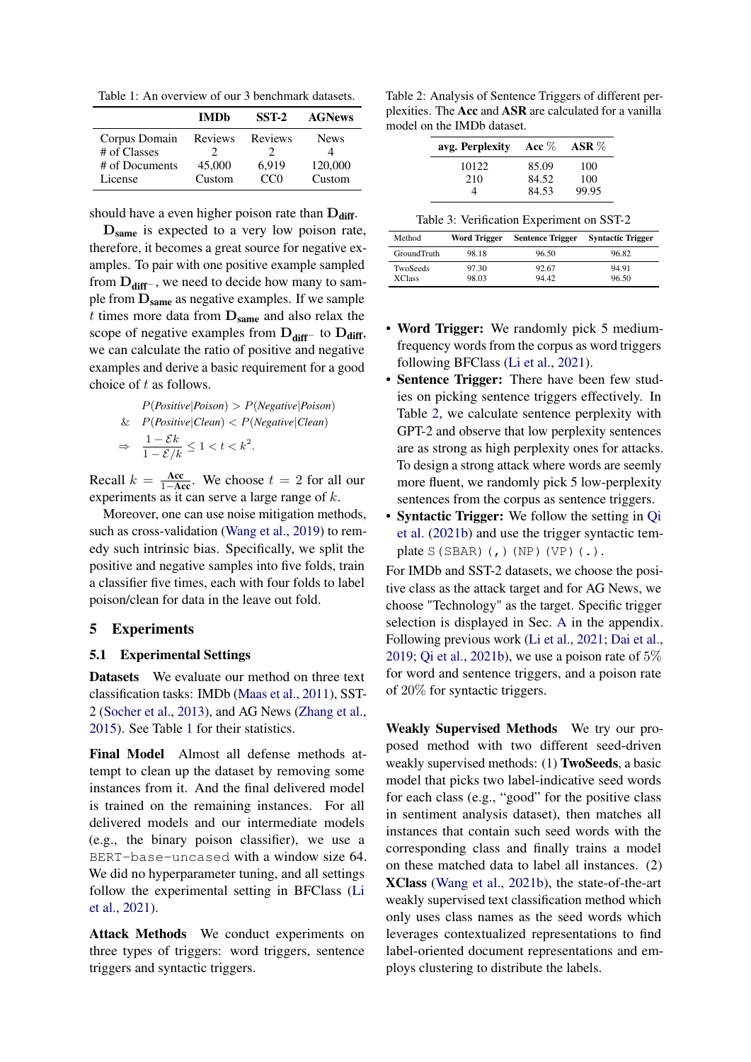<span id="page-5-0"></span>Table 1: An overview of our 3 benchmark datasets.

|                               | <b>IMDb</b> | SST-2   | <b>AGNews</b> |
|-------------------------------|-------------|---------|---------------|
| Corpus Domain<br># of Classes | Reviews     | Reviews | <b>News</b>   |
| # of Documents                | 45,000      | 6,919   | 120,000       |
| License                       | Custom      | CCD     | Custom        |

should have a even higher poison rate than  $D_{\text{diff}}$ .

D<sub>same</sub> is expected to a very low poison rate, therefore, it becomes a great source for negative examples. To pair with one positive example sampled from  $D_{\text{diff}^-}$ , we need to decide how many to sample from  $D_{same}$  as negative examples. If we sample  $t$  times more data from  $D_{same}$  and also relax the scope of negative examples from  $D_{diff}$ – to  $D_{diff}$ , we can calculate the ratio of positive and negative examples and derive a basic requirement for a good choice of t as follows.

$$
P(Positive | Poison) > P(Negative | Poison)
$$
\n
$$
\& P(Positive | Clean) < P(Negative | Clean)
$$
\n
$$
\Rightarrow \quad \frac{1 - \mathcal{E}k}{1 - \mathcal{E}/k} \le 1 < t < k^2.
$$

Recall  $k = \frac{Acc}{1 - Acc}$ . We choose  $t = 2$  for all our experiments as it can serve a large range of k.

Moreover, one can use noise mitigation methods, such as cross-validation [\(Wang et al.,](#page-9-8) [2019\)](#page-9-8) to remedy such intrinsic bias. Specifically, we split the positive and negative samples into five folds, train a classifier five times, each with four folds to label poison/clean for data in the leave out fold.

#### 5 Experiments

### 5.1 Experimental Settings

Datasets We evaluate our method on three text classification tasks: IMDb [\(Maas et al.,](#page-9-9) [2011\)](#page-9-9), SST-2 [\(Socher et al.,](#page-9-10) [2013\)](#page-9-10), and AG News [\(Zhang et al.,](#page-9-11) [2015\)](#page-9-11). See Table [1](#page-5-0) for their statistics.

Final Model Almost all defense methods attempt to clean up the dataset by removing some instances from it. And the final delivered model is trained on the remaining instances. For all delivered models and our intermediate models (e.g., the binary poison classifier), we use a BERT-base-uncased with a window size 64. We did no hyperparameter tuning, and all settings follow the experimental setting in BFClass [\(Li](#page-9-2) [et al.,](#page-9-2) [2021\)](#page-9-2).

Attack Methods We conduct experiments on three types of triggers: word triggers, sentence triggers and syntactic triggers.

<span id="page-5-1"></span>Table 2: Analysis of Sentence Triggers of different perplexities. The Acc and ASR are calculated for a vanilla model on the IMDb dataset.

| avg. Perplexity | Acc $\%$ | ASR $%$ |
|-----------------|----------|---------|
| 10122           | 85.09    | 100     |
| 210             | 84.52    | 100     |
|                 | 84.53    | 99.95   |

<span id="page-5-2"></span>

| Method                           | Word Trigger   | <b>Sentence Trigger</b> | <b>Syntactic Trigger</b> |
|----------------------------------|----------------|-------------------------|--------------------------|
| GroundTruth                      | 98.18          | 96.50                   | 96.82                    |
| <b>TwoSeeds</b><br><b>XClass</b> | 97.30<br>98.03 | 92.67<br>94.42          | 94.91<br>96.50           |

- Word Trigger: We randomly pick 5 mediumfrequency words from the corpus as word triggers following BFClass [\(Li et al.,](#page-9-2) [2021\)](#page-9-2).
- Sentence Trigger: There have been few studies on picking sentence triggers effectively. In Table [2,](#page-5-1) we calculate sentence perplexity with GPT-2 and observe that low perplexity sentences are as strong as high perplexity ones for attacks. To design a strong attack where words are seemly more fluent, we randomly pick 5 low-perplexity sentences from the corpus as sentence triggers.
- Syntactic Trigger: We follow the setting in [Qi](#page-9-0) [et al.](#page-9-0) [\(2021b\)](#page-9-0) and use the trigger syntactic template  $S(SBAR)$  (, ) (NP) (VP) (.).

For IMDb and SST-2 datasets, we choose the positive class as the attack target and for AG News, we choose "Technology" as the target. Specific trigger selection is displayed in Sec. [A](#page-11-0) in the appendix. Following previous work [\(Li et al.,](#page-9-2) [2021;](#page-9-2) [Dai et al.,](#page-8-0) [2019;](#page-8-0) [Qi et al.,](#page-9-0) [2021b\)](#page-9-0), we use a poison rate of  $5\%$ for word and sentence triggers, and a poison rate of 20% for syntactic triggers.

Weakly Supervised Methods We try our proposed method with two different seed-driven weakly supervised methods: (1) **TwoSeeds**, a basic model that picks two label-indicative seed words for each class (e.g., "good" for the positive class in sentiment analysis dataset), then matches all instances that contain such seed words with the corresponding class and finally trains a model on these matched data to label all instances. (2) XClass [\(Wang et al.,](#page-9-6) [2021b\)](#page-9-6), the state-of-the-art weakly supervised text classification method which only uses class names as the seed words which leverages contextualized representations to find label-oriented document representations and employs clustering to distribute the labels.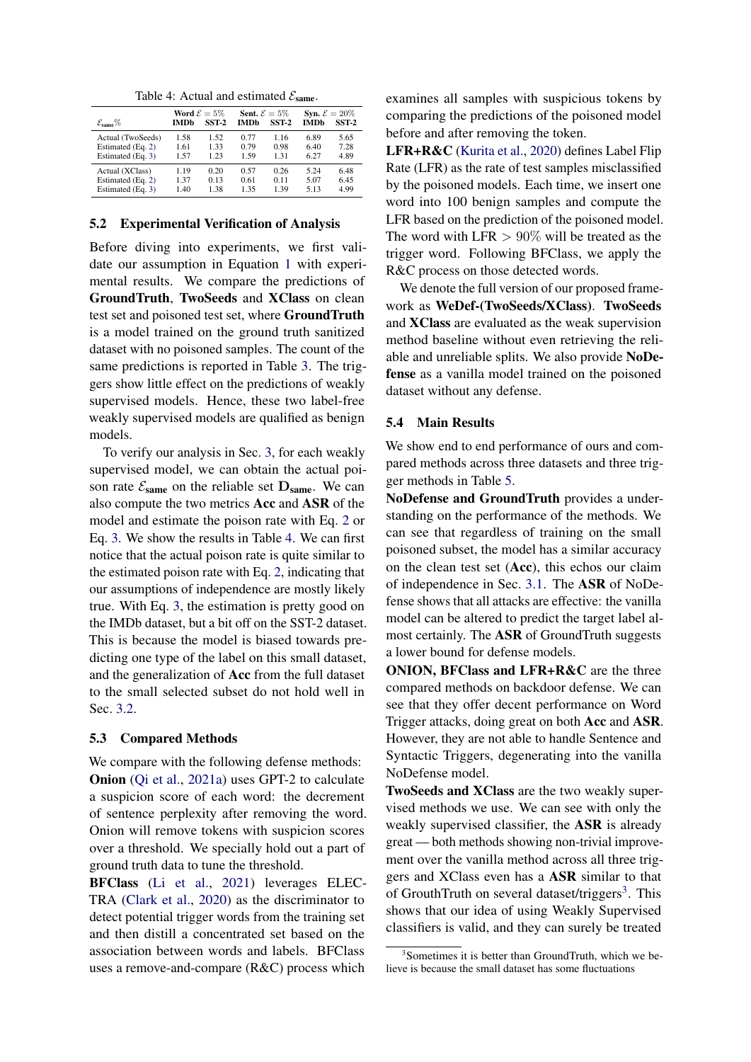Table 4: Actual and estimated  $\mathcal{E}_{\text{same}}$ .

<span id="page-6-1"></span>

| $\mathcal{E}_{\text{same}}\%$ | IMDb | Word $\mathcal{E}=5\%$<br>SST-2 | <b>Sent.</b> $\mathcal{E} = 5\%$<br><b>IMDb</b> | SST <sub>2</sub> | Syn. $\mathcal{E} = 20\%$<br><b>IMDb</b> | SST <sub>2</sub> |
|-------------------------------|------|---------------------------------|-------------------------------------------------|------------------|------------------------------------------|------------------|
| Actual (TwoSeeds)             | 1.58 | 1.52                            | 0.77                                            | 1.16             | 6.89                                     | 5.65             |
| Estimated (Eq. 2)             | 1.61 | 1.33                            | 0.79                                            | 0.98             | 6.40                                     | 7.28             |
| Estimated (Eq. 3)             | 1.57 | 1.23                            | 1.59                                            | 1.31             | 6.27                                     | 4.89             |
| Actual (XClass)               | 1.19 | 0.20                            | 0.57                                            | 0.26             | 5.24                                     | 6.48             |
| Estimated (Eq. 2)             | 1.37 | 0.13                            | 0.61                                            | 0.11             | 5.07                                     | 6.45             |
| Estimated (Eq. 3)             | 1.40 | 1.38                            | 135                                             | 1.39             | 5.13                                     | 4.99             |

#### <span id="page-6-0"></span>5.2 Experimental Verification of Analysis

Before diving into experiments, we first validate our assumption in Equation [1](#page-2-2) with experimental results. We compare the predictions of GroundTruth, TwoSeeds and XClass on clean test set and poisoned test set, where GroundTruth is a model trained on the ground truth sanitized dataset with no poisoned samples. The count of the same predictions is reported in Table [3.](#page-5-2) The triggers show little effect on the predictions of weakly supervised models. Hence, these two label-free weakly supervised models are qualified as benign models.

To verify our analysis in Sec. [3,](#page-2-1) for each weakly supervised model, we can obtain the actual poison rate  $\mathcal{E}_{same}$  on the reliable set  $D_{same}$ . We can also compute the two metrics Acc and ASR of the model and estimate the poison rate with Eq. [2](#page-3-0) or Eq. [3.](#page-3-1) We show the results in Table [4.](#page-6-1) We can first notice that the actual poison rate is quite similar to the estimated poison rate with Eq. [2,](#page-3-0) indicating that our assumptions of independence are mostly likely true. With Eq. [3,](#page-3-1) the estimation is pretty good on the IMDb dataset, but a bit off on the SST-2 dataset. This is because the model is biased towards predicting one type of the label on this small dataset, and the generalization of Acc from the full dataset to the small selected subset do not hold well in Sec. [3.2.](#page-2-3)

#### 5.3 Compared Methods

We compare with the following defense methods: Onion [\(Qi et al.,](#page-9-1) [2021a\)](#page-9-1) uses GPT-2 to calculate a suspicion score of each word: the decrement of sentence perplexity after removing the word. Onion will remove tokens with suspicion scores over a threshold. We specially hold out a part of ground truth data to tune the threshold.

BFClass [\(Li et al.,](#page-9-2) [2021\)](#page-9-2) leverages ELEC-TRA [\(Clark et al.,](#page-8-4) [2020\)](#page-8-4) as the discriminator to detect potential trigger words from the training set and then distill a concentrated set based on the association between words and labels. BFClass uses a remove-and-compare (R&C) process which

examines all samples with suspicious tokens by comparing the predictions of the poisoned model before and after removing the token.

LFR+R&C [\(Kurita et al.,](#page-8-1) [2020\)](#page-8-1) defines Label Flip Rate (LFR) as the rate of test samples misclassified by the poisoned models. Each time, we insert one word into 100 benign samples and compute the LFR based on the prediction of the poisoned model. The word with LFR  $> 90\%$  will be treated as the trigger word. Following BFClass, we apply the R&C process on those detected words.

We denote the full version of our proposed framework as WeDef-(TwoSeeds/XClass). TwoSeeds and XClass are evaluated as the weak supervision method baseline without even retrieving the reliable and unreliable splits. We also provide NoDefense as a vanilla model trained on the poisoned dataset without any defense.

#### 5.4 Main Results

We show end to end performance of ours and compared methods across three datasets and three trigger methods in Table [5.](#page-7-0)

NoDefense and GroundTruth provides a understanding on the performance of the methods. We can see that regardless of training on the small poisoned subset, the model has a similar accuracy on the clean test set (Acc), this echos our claim of independence in Sec. [3.1.](#page-2-4) The ASR of NoDefense shows that all attacks are effective: the vanilla model can be altered to predict the target label almost certainly. The ASR of GroundTruth suggests a lower bound for defense models.

ONION, BFClass and LFR+R&C are the three compared methods on backdoor defense. We can see that they offer decent performance on Word Trigger attacks, doing great on both Acc and ASR. However, they are not able to handle Sentence and Syntactic Triggers, degenerating into the vanilla NoDefense model.

TwoSeeds and XClass are the two weakly supervised methods we use. We can see with only the weakly supervised classifier, the ASR is already great — both methods showing non-trivial improvement over the vanilla method across all three triggers and XClass even has a ASR similar to that of GrouthTruth on several dataset/triggers<sup>[3](#page-6-2)</sup>. This shows that our idea of using Weakly Supervised classifiers is valid, and they can surely be treated

<span id="page-6-2"></span><sup>3</sup> Sometimes it is better than GroundTruth, which we believe is because the small dataset has some fluctuations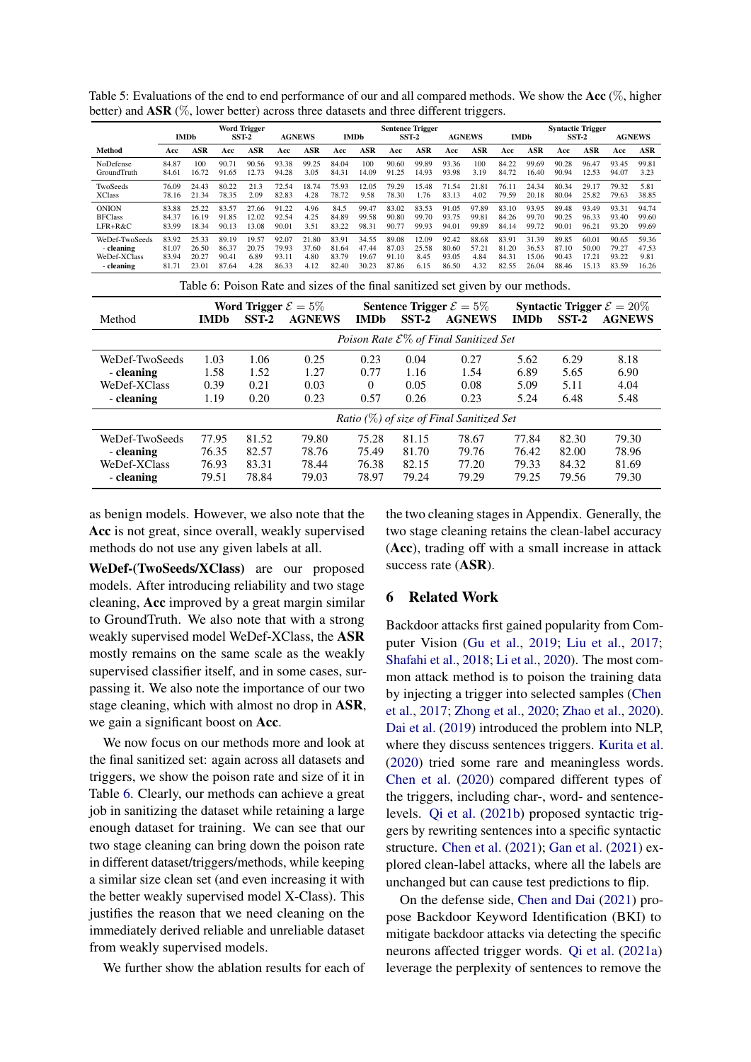<span id="page-7-1"></span>

|                                                                                                                                  |                                                                                 | <b>IMDb</b>    |                | <b>Word Trigger</b><br>SST-2 | <b>AGNEWS</b>  |               |                | <b>IMDb</b>    | <b>Sentence Trigger</b>                            | $SST-2$        |                | <b>AGNEWS</b>  |                | <b>IMDb</b>    | <b>Syntactic Trigger</b> | SST-2          | <b>AGNEWS</b>  |                |
|----------------------------------------------------------------------------------------------------------------------------------|---------------------------------------------------------------------------------|----------------|----------------|------------------------------|----------------|---------------|----------------|----------------|----------------------------------------------------|----------------|----------------|----------------|----------------|----------------|--------------------------|----------------|----------------|----------------|
| Method                                                                                                                           | Acc                                                                             | <b>ASR</b>     | Acc            | ASR                          | Acc            | <b>ASR</b>    | Acc            | <b>ASR</b>     | Acc                                                | <b>ASR</b>     | Acc            | ASR            | Acc            | <b>ASR</b>     | Acc                      | <b>ASR</b>     | Acc            | <b>ASR</b>     |
| NoDefense                                                                                                                        | 84.87                                                                           | 100            | 90.71          | 90.56                        | 93.38          | 99.25         | 84.04          | 100            | 90.60                                              | 99.89          | 93.36          | 100            | 84.22          | 99.69          | 90.28                    | 96.47          | 93.45          | 99.81          |
| GroundTruth                                                                                                                      | 84.61                                                                           | 16.72          | 91.65          | 12.73                        | 94.28          | 3.05          | 84.31          | 14.09          | 91.25                                              | 14.93          | 93.98          | 3.19           | 84.72          | 16.40          | 90.94                    | 12.53          | 94.07          | 3.23           |
| TwoSeeds<br><b>XClass</b>                                                                                                        | 76.09<br>78.16                                                                  | 24.43<br>21.34 | 80.22<br>78.35 | 21.3<br>2.09                 | 72.54<br>82.83 | 18.74<br>4.28 | 75.93<br>78.72 | 12.05<br>9.58  | 79.29<br>78.30                                     | 15.48<br>1.76  | 71.54<br>83.13 | 21.81<br>4.02  | 76.11<br>79.59 | 24.34<br>20.18 | 80.34<br>80.04           | 29.17<br>25.82 | 79.32<br>79.63 | 5.81<br>38.85  |
|                                                                                                                                  |                                                                                 |                |                |                              |                |               |                |                |                                                    |                |                |                |                |                |                          |                |                |                |
| <b>ONION</b><br><b>BFClass</b>                                                                                                   | 83.88<br>84.37                                                                  | 25.22<br>16.19 | 83.57<br>91.85 | 27.66<br>12.02               | 91.22<br>92.54 | 4.96<br>4.25  | 84.5<br>84.89  | 99.47<br>99.58 | 83.02<br>90.80                                     | 83.53<br>99.70 | 91.05<br>93.75 | 97.89<br>99.81 | 83.10<br>84.26 | 93.95<br>99.70 | 89.48<br>90.25           | 93.49<br>96.33 | 93.31<br>93.40 | 94.74<br>99.60 |
| LFR+R&C                                                                                                                          | 83.99                                                                           | 18.34          | 90.13          | 13.08                        | 90.01          | 3.51          | 83.22          | 98.31          | 90.77                                              | 99.93          | 94.01          | 99.89          | 84.14          | 99.72          | 90.01                    | 96.21          | 93.20          | 99.69          |
| WeDef-TwoSeeds                                                                                                                   | 83.92                                                                           | 25.33          | 89.19          | 19.57                        | 92.07          | 21.80         | 83.91          | 34.55          | 89.08                                              | 12.09          | 92.42          | 88.68          | 83.91          | 31.39          | 89.85                    | 60.01          | 90.65          | 59.36          |
| - cleaning                                                                                                                       | 81.07                                                                           | 26.50          | 86.37          | 20.75                        | 79.93          | 37.60         | 81.64          | 47.44          | 87.03                                              | 25.58          | 80.60          | 57.21          | 81.20          | 36.53          | 87.10                    | 50.00          | 79.27          | 47.53          |
| WeDef-XClass<br>- cleaning                                                                                                       | 83.94<br>81.71                                                                  | 20.27<br>23.01 | 90.41<br>87.64 | 6.89<br>4.28                 | 93.11<br>86.33 | 4.80<br>4.12  | 83.79<br>82.40 | 19.67<br>30.23 | 91.10<br>87.86                                     | 8.45<br>6.15   | 93.05<br>86.50 | 4.84<br>4.32   | 84.31<br>82.55 | 15.06<br>26.04 | 90.43<br>88.46           | 17.21<br>15.13 | 93.22<br>83.59 | 9.81<br>16.26  |
|                                                                                                                                  |                                                                                 |                |                |                              |                |               |                |                |                                                    |                |                |                |                |                |                          |                |                |                |
|                                                                                                                                  | Table 6: Poison Rate and sizes of the final sanitized set given by our methods. |                |                |                              |                |               |                |                |                                                    |                |                |                |                |                |                          |                |                |                |
| <b>Syntactic Trigger</b> $\mathcal{E} = 20\%$<br>Word Trigger $\mathcal{E} = 5\%$<br><b>Sentence Trigger</b> $\mathcal{E} = 5\%$ |                                                                                 |                |                |                              |                |               |                |                |                                                    |                |                |                |                |                |                          |                |                |                |
| Method                                                                                                                           |                                                                                 |                | <b>IMDb</b>    | $SST-2$                      |                | <b>AGNEWS</b> |                | <b>IMDb</b>    |                                                    | $SST-2$        |                | <b>AGNEWS</b>  |                | <b>IMDb</b>    | $SST-2$                  |                | <b>AGNEWS</b>  |                |
|                                                                                                                                  |                                                                                 |                |                |                              |                |               |                |                | Poison Rate $\mathcal{E}\%$ of Final Sanitized Set |                |                |                |                |                |                          |                |                |                |
| WeDef-TwoSeeds                                                                                                                   |                                                                                 |                | 1.03           | 1.06                         |                | 0.25          |                | 0.23           |                                                    | 0.04           |                | 0.27           |                | 5.62           | 6.29                     |                | 8.18           |                |
| - cleaning                                                                                                                       |                                                                                 |                | 1.58           | 1.52                         |                | 1.27          |                | 0.77           |                                                    | 1.16           |                | 1.54           |                | 6.89           | 5.65                     |                | 6.90           |                |
| WeDef-XClass                                                                                                                     |                                                                                 |                | 0.39           | 0.21                         |                | 0.03          |                |                |                                                    | 0.05           |                | 0.08           |                | 5.09           | 5.11                     |                | 4.04           |                |
|                                                                                                                                  |                                                                                 |                |                |                              |                |               |                | 0              |                                                    |                |                |                |                |                |                          |                |                |                |
| - cleaning                                                                                                                       |                                                                                 |                | 1.19           | 0.20                         |                | 0.23          |                | 0.57           |                                                    | 0.26           |                | 0.23           |                | 5.24           | 6.48                     |                | 5.48           |                |
|                                                                                                                                  | Ratio $(\%)$ of size of Final Sanitized Set                                     |                |                |                              |                |               |                |                |                                                    |                |                |                |                |                |                          |                |                |                |
| WeDef-TwoSeeds                                                                                                                   |                                                                                 |                | 77.95          | 81.52                        |                | 79.80         |                | 75.28          |                                                    | 81.15          |                | 78.67          |                | 77.84          | 82.30                    |                | 79.30          |                |
| - cleaning                                                                                                                       |                                                                                 |                | 76.35          | 82.57                        |                | 78.76         |                | 75.49          |                                                    | 81.70          |                | 79.76          |                | 76.42          | 82.00                    |                | 78.96          |                |
| WeDef-XClass                                                                                                                     |                                                                                 |                | 76.93          | 83.31                        |                | 78.44         |                | 76.38          |                                                    | 82.15          |                | 77.20          |                | 79.33          | 84.32                    |                | 81.69          |                |
| - cleaning                                                                                                                       |                                                                                 |                | 79.51          | 78.84                        |                | 79.03         |                | 78.97          |                                                    | 79.24          |                | 79.29          |                | 79.25          | 79.56                    |                | 79.30          |                |
|                                                                                                                                  |                                                                                 |                |                |                              |                |               |                |                |                                                    |                |                |                |                |                |                          |                |                |                |

<span id="page-7-0"></span>Table 5: Evaluations of the end to end performance of our and all compared methods. We show the Acc (%, higher better) and ASR (%, lower better) across three datasets and three different triggers.

as benign models. However, we also note that the Acc is not great, since overall, weakly supervised methods do not use any given labels at all.

WeDef-(TwoSeeds/XClass) are our proposed models. After introducing reliability and two stage cleaning, Acc improved by a great margin similar to GroundTruth. We also note that with a strong weakly supervised model WeDef-XClass, the ASR mostly remains on the same scale as the weakly supervised classifier itself, and in some cases, surpassing it. We also note the importance of our two stage cleaning, which with almost no drop in ASR, we gain a significant boost on Acc.

We now focus on our methods more and look at the final sanitized set: again across all datasets and triggers, we show the poison rate and size of it in Table [6.](#page-7-1) Clearly, our methods can achieve a great job in sanitizing the dataset while retaining a large enough dataset for training. We can see that our two stage cleaning can bring down the poison rate in different dataset/triggers/methods, while keeping a similar size clean set (and even increasing it with the better weakly supervised model X-Class). This justifies the reason that we need cleaning on the immediately derived reliable and unreliable dataset from weakly supervised models.

We further show the ablation results for each of

the two cleaning stages in Appendix. Generally, the two stage cleaning retains the clean-label accuracy (Acc), trading off with a small increase in attack success rate (ASR).

#### 6 Related Work

Backdoor attacks first gained popularity from Computer Vision [\(Gu et al.,](#page-8-3) [2019;](#page-8-3) [Liu et al.,](#page-9-12) [2017;](#page-9-12) [Shafahi et al.,](#page-9-13) [2018;](#page-9-13) [Li et al.,](#page-9-14) [2020\)](#page-9-14). The most common attack method is to poison the training data by injecting a trigger into selected samples [\(Chen](#page-8-5) [et al.,](#page-8-5) [2017;](#page-8-5) [Zhong et al.,](#page-9-15) [2020;](#page-9-15) [Zhao et al.,](#page-9-16) [2020\)](#page-9-16). [Dai et al.](#page-8-0) [\(2019\)](#page-8-0) introduced the problem into NLP, where they discuss sentences triggers. [Kurita et al.](#page-8-1) [\(2020\)](#page-8-1) tried some rare and meaningless words. [Chen et al.](#page-8-2) [\(2020\)](#page-8-2) compared different types of the triggers, including char-, word- and sentencelevels. [Qi et al.](#page-9-0) [\(2021b\)](#page-9-0) proposed syntactic triggers by rewriting sentences into a specific syntactic structure. [Chen et al.](#page-8-6) [\(2021\)](#page-8-6); [Gan et al.](#page-8-7) [\(2021\)](#page-8-7) explored clean-label attacks, where all the labels are unchanged but can cause test predictions to flip.

On the defense side, [Chen and Dai](#page-8-8) [\(2021\)](#page-8-8) propose Backdoor Keyword Identification (BKI) to mitigate backdoor attacks via detecting the specific neurons affected trigger words. [Qi et al.](#page-9-1) [\(2021a\)](#page-9-1) leverage the perplexity of sentences to remove the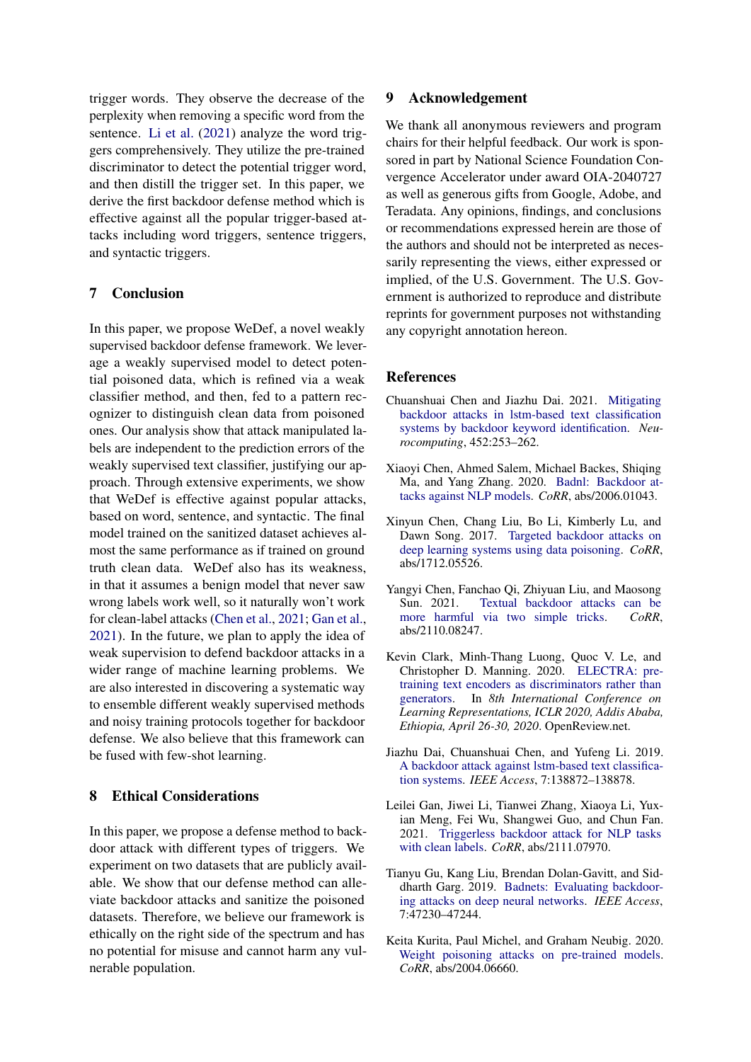trigger words. They observe the decrease of the perplexity when removing a specific word from the sentence. [Li et al.](#page-9-2) [\(2021\)](#page-9-2) analyze the word triggers comprehensively. They utilize the pre-trained discriminator to detect the potential trigger word, and then distill the trigger set. In this paper, we derive the first backdoor defense method which is effective against all the popular trigger-based attacks including word triggers, sentence triggers, and syntactic triggers.

### 7 Conclusion

In this paper, we propose WeDef, a novel weakly supervised backdoor defense framework. We leverage a weakly supervised model to detect potential poisoned data, which is refined via a weak classifier method, and then, fed to a pattern recognizer to distinguish clean data from poisoned ones. Our analysis show that attack manipulated labels are independent to the prediction errors of the weakly supervised text classifier, justifying our approach. Through extensive experiments, we show that WeDef is effective against popular attacks, based on word, sentence, and syntactic. The final model trained on the sanitized dataset achieves almost the same performance as if trained on ground truth clean data. WeDef also has its weakness, in that it assumes a benign model that never saw wrong labels work well, so it naturally won't work for clean-label attacks [\(Chen et al.,](#page-8-6) [2021;](#page-8-6) [Gan et al.,](#page-8-7) [2021\)](#page-8-7). In the future, we plan to apply the idea of weak supervision to defend backdoor attacks in a wider range of machine learning problems. We are also interested in discovering a systematic way to ensemble different weakly supervised methods and noisy training protocols together for backdoor defense. We also believe that this framework can be fused with few-shot learning.

### 8 Ethical Considerations

In this paper, we propose a defense method to backdoor attack with different types of triggers. We experiment on two datasets that are publicly available. We show that our defense method can alleviate backdoor attacks and sanitize the poisoned datasets. Therefore, we believe our framework is ethically on the right side of the spectrum and has no potential for misuse and cannot harm any vulnerable population.

### 9 Acknowledgement

We thank all anonymous reviewers and program chairs for their helpful feedback. Our work is sponsored in part by National Science Foundation Convergence Accelerator under award OIA-2040727 as well as generous gifts from Google, Adobe, and Teradata. Any opinions, findings, and conclusions or recommendations expressed herein are those of the authors and should not be interpreted as necessarily representing the views, either expressed or implied, of the U.S. Government. The U.S. Government is authorized to reproduce and distribute reprints for government purposes not withstanding any copyright annotation hereon.

### References

- <span id="page-8-8"></span>Chuanshuai Chen and Jiazhu Dai. 2021. [Mitigating](https://doi.org/10.1016/j.neucom.2021.04.105) [backdoor attacks in lstm-based text classification](https://doi.org/10.1016/j.neucom.2021.04.105) [systems by backdoor keyword identification.](https://doi.org/10.1016/j.neucom.2021.04.105) *Neurocomputing*, 452:253–262.
- <span id="page-8-2"></span>Xiaoyi Chen, Ahmed Salem, Michael Backes, Shiqing Ma, and Yang Zhang. 2020. [Badnl: Backdoor at](http://arxiv.org/abs/2006.01043)[tacks against NLP models.](http://arxiv.org/abs/2006.01043) *CoRR*, abs/2006.01043.
- <span id="page-8-5"></span>Xinyun Chen, Chang Liu, Bo Li, Kimberly Lu, and Dawn Song. 2017. [Targeted backdoor attacks on](http://arxiv.org/abs/1712.05526) [deep learning systems using data poisoning.](http://arxiv.org/abs/1712.05526) *CoRR*, abs/1712.05526.
- <span id="page-8-6"></span>Yangyi Chen, Fanchao Qi, Zhiyuan Liu, and Maosong Sun. 2021. [Textual backdoor attacks can be](http://arxiv.org/abs/2110.08247) [more harmful via two simple tricks.](http://arxiv.org/abs/2110.08247) *CoRR*, abs/2110.08247.
- <span id="page-8-4"></span>Kevin Clark, Minh-Thang Luong, Quoc V. Le, and Christopher D. Manning. 2020. [ELECTRA: pre](https://openreview.net/forum?id=r1xMH1BtvB)[training text encoders as discriminators rather than](https://openreview.net/forum?id=r1xMH1BtvB) [generators.](https://openreview.net/forum?id=r1xMH1BtvB) In *8th International Conference on Learning Representations, ICLR 2020, Addis Ababa, Ethiopia, April 26-30, 2020*. OpenReview.net.
- <span id="page-8-0"></span>Jiazhu Dai, Chuanshuai Chen, and Yufeng Li. 2019. [A backdoor attack against lstm-based text classifica](https://doi.org/10.1109/ACCESS.2019.2941376)[tion systems.](https://doi.org/10.1109/ACCESS.2019.2941376) *IEEE Access*, 7:138872–138878.
- <span id="page-8-7"></span>Leilei Gan, Jiwei Li, Tianwei Zhang, Xiaoya Li, Yuxian Meng, Fei Wu, Shangwei Guo, and Chun Fan. 2021. [Triggerless backdoor attack for NLP tasks](http://arxiv.org/abs/2111.07970) [with clean labels.](http://arxiv.org/abs/2111.07970) *CoRR*, abs/2111.07970.
- <span id="page-8-3"></span>Tianyu Gu, Kang Liu, Brendan Dolan-Gavitt, and Siddharth Garg. 2019. [Badnets: Evaluating backdoor](https://doi.org/10.1109/ACCESS.2019.2909068)[ing attacks on deep neural networks.](https://doi.org/10.1109/ACCESS.2019.2909068) *IEEE Access*, 7:47230–47244.
- <span id="page-8-1"></span>Keita Kurita, Paul Michel, and Graham Neubig. 2020. [Weight poisoning attacks on pre-trained models.](http://arxiv.org/abs/2004.06660) *CoRR*, abs/2004.06660.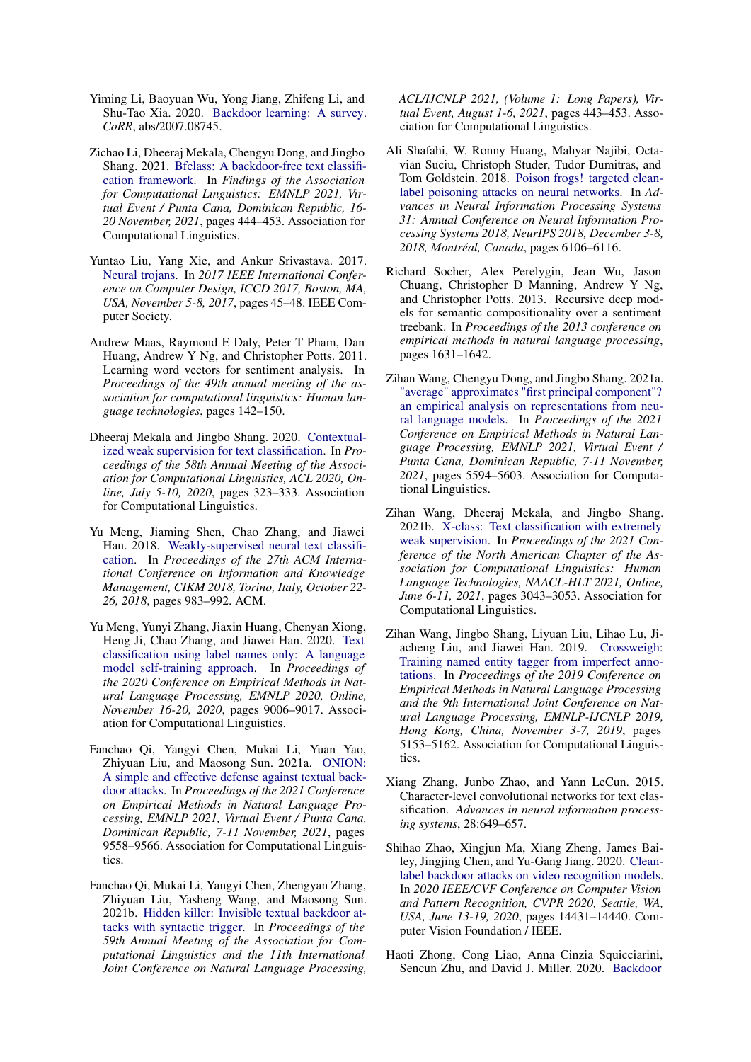- <span id="page-9-14"></span>Yiming Li, Baoyuan Wu, Yong Jiang, Zhifeng Li, and Shu-Tao Xia. 2020. [Backdoor learning: A survey.](http://arxiv.org/abs/2007.08745) *CoRR*, abs/2007.08745.
- <span id="page-9-2"></span>Zichao Li, Dheeraj Mekala, Chengyu Dong, and Jingbo Shang. 2021. [Bfclass: A backdoor-free text classifi](https://doi.org/10.18653/v1/2021.findings-emnlp.40)[cation framework.](https://doi.org/10.18653/v1/2021.findings-emnlp.40) In *Findings of the Association for Computational Linguistics: EMNLP 2021, Virtual Event / Punta Cana, Dominican Republic, 16- 20 November, 2021*, pages 444–453. Association for Computational Linguistics.
- <span id="page-9-12"></span>Yuntao Liu, Yang Xie, and Ankur Srivastava. 2017. [Neural trojans.](https://doi.org/10.1109/ICCD.2017.16) In *2017 IEEE International Conference on Computer Design, ICCD 2017, Boston, MA, USA, November 5-8, 2017*, pages 45–48. IEEE Computer Society.
- <span id="page-9-9"></span>Andrew Maas, Raymond E Daly, Peter T Pham, Dan Huang, Andrew Y Ng, and Christopher Potts. 2011. Learning word vectors for sentiment analysis. In *Proceedings of the 49th annual meeting of the association for computational linguistics: Human language technologies*, pages 142–150.
- <span id="page-9-4"></span>Dheeraj Mekala and Jingbo Shang. 2020. [Contextual](https://doi.org/10.18653/v1/2020.acl-main.30)[ized weak supervision for text classification.](https://doi.org/10.18653/v1/2020.acl-main.30) In *Proceedings of the 58th Annual Meeting of the Association for Computational Linguistics, ACL 2020, Online, July 5-10, 2020*, pages 323–333. Association for Computational Linguistics.
- <span id="page-9-3"></span>Yu Meng, Jiaming Shen, Chao Zhang, and Jiawei Han. 2018. [Weakly-supervised neural text classifi](https://doi.org/10.1145/3269206.3271737)[cation.](https://doi.org/10.1145/3269206.3271737) In *Proceedings of the 27th ACM International Conference on Information and Knowledge Management, CIKM 2018, Torino, Italy, October 22- 26, 2018*, pages 983–992. ACM.
- <span id="page-9-5"></span>Yu Meng, Yunyi Zhang, Jiaxin Huang, Chenyan Xiong, Heng Ji, Chao Zhang, and Jiawei Han. 2020. [Text](https://doi.org/10.18653/v1/2020.emnlp-main.724) [classification using label names only: A language](https://doi.org/10.18653/v1/2020.emnlp-main.724) [model self-training approach.](https://doi.org/10.18653/v1/2020.emnlp-main.724) In *Proceedings of the 2020 Conference on Empirical Methods in Natural Language Processing, EMNLP 2020, Online, November 16-20, 2020*, pages 9006–9017. Association for Computational Linguistics.
- <span id="page-9-1"></span>Fanchao Qi, Yangyi Chen, Mukai Li, Yuan Yao, Zhiyuan Liu, and Maosong Sun. 2021a. [ONION:](https://doi.org/10.18653/v1/2021.emnlp-main.752) [A simple and effective defense against textual back](https://doi.org/10.18653/v1/2021.emnlp-main.752)[door attacks.](https://doi.org/10.18653/v1/2021.emnlp-main.752) In *Proceedings of the 2021 Conference on Empirical Methods in Natural Language Processing, EMNLP 2021, Virtual Event / Punta Cana, Dominican Republic, 7-11 November, 2021*, pages 9558–9566. Association for Computational Linguistics.
- <span id="page-9-0"></span>Fanchao Qi, Mukai Li, Yangyi Chen, Zhengyan Zhang, Zhiyuan Liu, Yasheng Wang, and Maosong Sun. 2021b. [Hidden killer: Invisible textual backdoor at](https://doi.org/10.18653/v1/2021.acl-long.37)[tacks with syntactic trigger.](https://doi.org/10.18653/v1/2021.acl-long.37) In *Proceedings of the 59th Annual Meeting of the Association for Computational Linguistics and the 11th International Joint Conference on Natural Language Processing,*

*ACL/IJCNLP 2021, (Volume 1: Long Papers), Virtual Event, August 1-6, 2021*, pages 443–453. Association for Computational Linguistics.

- <span id="page-9-13"></span>Ali Shafahi, W. Ronny Huang, Mahyar Najibi, Octavian Suciu, Christoph Studer, Tudor Dumitras, and Tom Goldstein. 2018. [Poison frogs! targeted clean](https://proceedings.neurips.cc/paper/2018/hash/22722a343513ed45f14905eb07621686-Abstract.html)[label poisoning attacks on neural networks.](https://proceedings.neurips.cc/paper/2018/hash/22722a343513ed45f14905eb07621686-Abstract.html) In *Advances in Neural Information Processing Systems 31: Annual Conference on Neural Information Processing Systems 2018, NeurIPS 2018, December 3-8, 2018, Montréal, Canada*, pages 6106–6116.
- <span id="page-9-10"></span>Richard Socher, Alex Perelygin, Jean Wu, Jason Chuang, Christopher D Manning, Andrew Y Ng, and Christopher Potts. 2013. Recursive deep models for semantic compositionality over a sentiment treebank. In *Proceedings of the 2013 conference on empirical methods in natural language processing*, pages 1631–1642.
- <span id="page-9-7"></span>Zihan Wang, Chengyu Dong, and Jingbo Shang. 2021a. ["average" approximates "first principal component"?](https://doi.org/10.18653/v1/2021.emnlp-main.453) [an empirical analysis on representations from neu](https://doi.org/10.18653/v1/2021.emnlp-main.453)[ral language models.](https://doi.org/10.18653/v1/2021.emnlp-main.453) In *Proceedings of the 2021 Conference on Empirical Methods in Natural Language Processing, EMNLP 2021, Virtual Event / Punta Cana, Dominican Republic, 7-11 November, 2021*, pages 5594–5603. Association for Computational Linguistics.
- <span id="page-9-6"></span>Zihan Wang, Dheeraj Mekala, and Jingbo Shang. 2021b. [X-class: Text classification with extremely](https://doi.org/10.18653/v1/2021.naacl-main.242) [weak supervision.](https://doi.org/10.18653/v1/2021.naacl-main.242) In *Proceedings of the 2021 Conference of the North American Chapter of the Association for Computational Linguistics: Human Language Technologies, NAACL-HLT 2021, Online, June 6-11, 2021*, pages 3043–3053. Association for Computational Linguistics.
- <span id="page-9-8"></span>Zihan Wang, Jingbo Shang, Liyuan Liu, Lihao Lu, Jiacheng Liu, and Jiawei Han. 2019. [Crossweigh:](https://doi.org/10.18653/v1/D19-1519) [Training named entity tagger from imperfect anno](https://doi.org/10.18653/v1/D19-1519)[tations.](https://doi.org/10.18653/v1/D19-1519) In *Proceedings of the 2019 Conference on Empirical Methods in Natural Language Processing and the 9th International Joint Conference on Natural Language Processing, EMNLP-IJCNLP 2019, Hong Kong, China, November 3-7, 2019*, pages 5153–5162. Association for Computational Linguistics.
- <span id="page-9-11"></span>Xiang Zhang, Junbo Zhao, and Yann LeCun. 2015. Character-level convolutional networks for text classification. *Advances in neural information processing systems*, 28:649–657.
- <span id="page-9-16"></span>Shihao Zhao, Xingjun Ma, Xiang Zheng, James Bailey, Jingjing Chen, and Yu-Gang Jiang. 2020. [Clean](https://doi.org/10.1109/CVPR42600.2020.01445)[label backdoor attacks on video recognition models.](https://doi.org/10.1109/CVPR42600.2020.01445) In *2020 IEEE/CVF Conference on Computer Vision and Pattern Recognition, CVPR 2020, Seattle, WA, USA, June 13-19, 2020*, pages 14431–14440. Computer Vision Foundation / IEEE.
- <span id="page-9-15"></span>Haoti Zhong, Cong Liao, Anna Cinzia Squicciarini, Sencun Zhu, and David J. Miller. 2020. [Backdoor](https://doi.org/10.1145/3374664.3375751)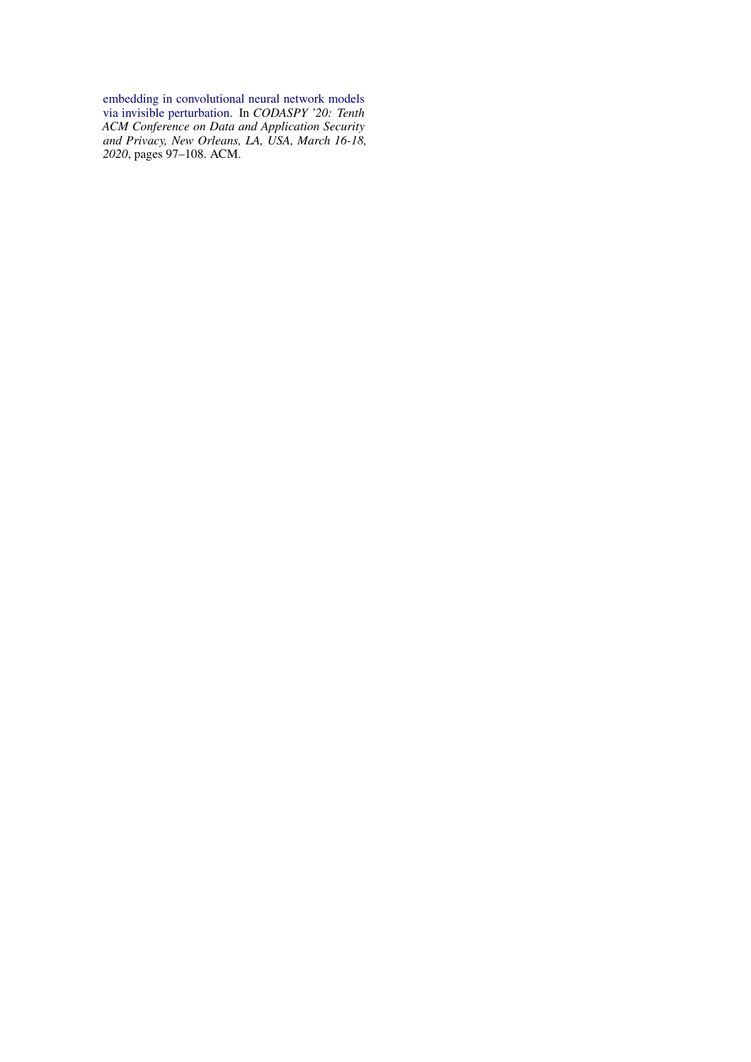[embedding in convolutional neural network models](https://doi.org/10.1145/3374664.3375751) [via invisible perturbation.](https://doi.org/10.1145/3374664.3375751) In *CODASPY '20: Tenth ACM Conference on Data and Application Security and Privacy, New Orleans, LA, USA, March 16-18, 2020*, pages 97–108. ACM.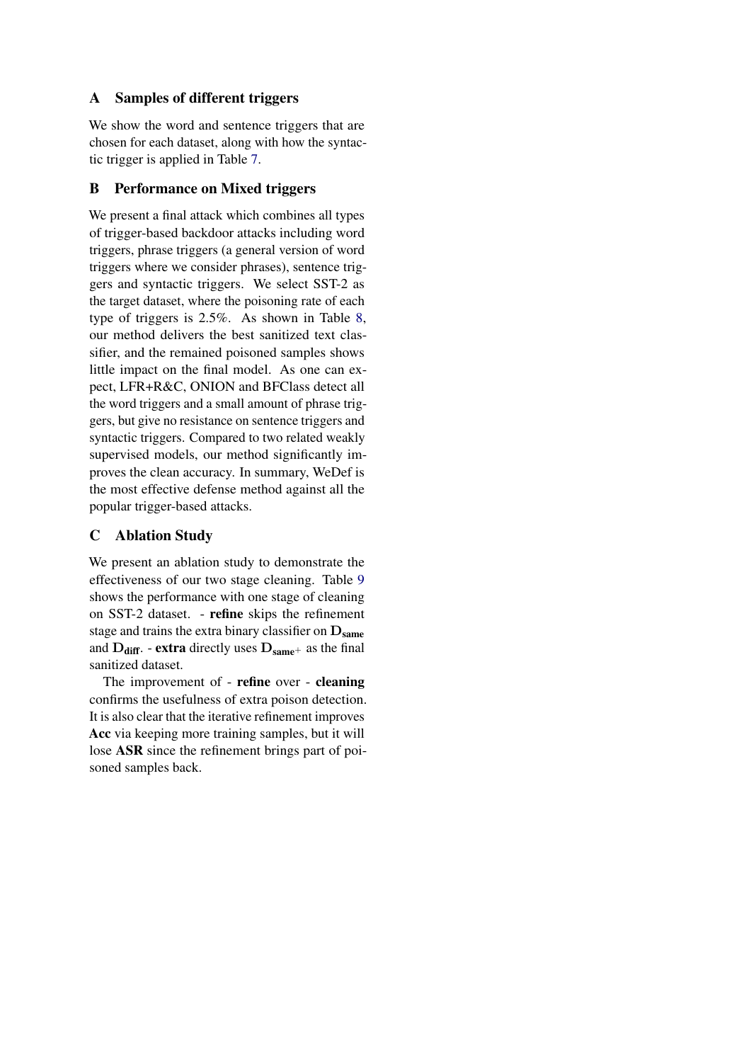## <span id="page-11-0"></span>A Samples of different triggers

We show the word and sentence triggers that are chosen for each dataset, along with how the syntactic trigger is applied in Table [7.](#page-12-0)

## B Performance on Mixed triggers

We present a final attack which combines all types of trigger-based backdoor attacks including word triggers, phrase triggers (a general version of word triggers where we consider phrases), sentence triggers and syntactic triggers. We select SST-2 as the target dataset, where the poisoning rate of each type of triggers is 2.5%. As shown in Table [8,](#page-12-1) our method delivers the best sanitized text classifier, and the remained poisoned samples shows little impact on the final model. As one can expect, LFR+R&C, ONION and BFClass detect all the word triggers and a small amount of phrase triggers, but give no resistance on sentence triggers and syntactic triggers. Compared to two related weakly supervised models, our method significantly improves the clean accuracy. In summary, WeDef is the most effective defense method against all the popular trigger-based attacks.

# C Ablation Study

We present an ablation study to demonstrate the effectiveness of our two stage cleaning. Table [9](#page-12-2) shows the performance with one stage of cleaning on SST-2 dataset. - refine skips the refinement stage and trains the extra binary classifier on  $D_{same}$ and  $D_{\text{diff}}$ . - extra directly uses  $D_{\text{same}}$ + as the final sanitized dataset.

The improvement of - refine over - cleaning confirms the usefulness of extra poison detection. It is also clear that the iterative refinement improves Acc via keeping more training samples, but it will lose ASR since the refinement brings part of poisoned samples back.